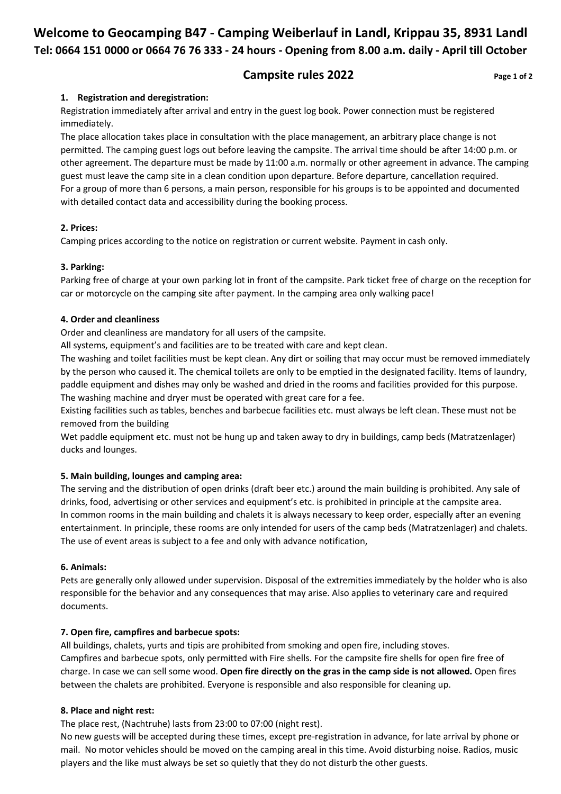# **Welcome to Geocamping B47 - Camping Weiberlauf in Landl, Krippau 35, 8931 Landl Tel: 0664 151 0000 or 0664 76 76 333 - 24 hours - Opening from 8.00 a.m. daily - April till October**

# **Campsite rules 2022** Page 1 of 2

#### **1. Registration and deregistration:**

Registration immediately after arrival and entry in the guest log book. Power connection must be registered immediately.

The place allocation takes place in consultation with the place management, an arbitrary place change is not permitted. The camping guest logs out before leaving the campsite. The arrival time should be after 14:00 p.m. or other agreement. The departure must be made by 11:00 a.m. normally or other agreement in advance. The camping guest must leave the camp site in a clean condition upon departure. Before departure, cancellation required. For a group of more than 6 persons, a main person, responsible for his groups is to be appointed and documented with detailed contact data and accessibility during the booking process.

## **2. Prices:**

Camping prices according to the notice on registration or current website. Payment in cash only.

#### **3. Parking:**

Parking free of charge at your own parking lot in front of the campsite. Park ticket free of charge on the reception for car or motorcycle on the camping site after payment. In the camping area only walking pace!

#### **4. Order and cleanliness**

Order and cleanliness are mandatory for all users of the campsite.

All systems, equipment's and facilities are to be treated with care and kept clean.

The washing and toilet facilities must be kept clean. Any dirt or soiling that may occur must be removed immediately by the person who caused it. The chemical toilets are only to be emptied in the designated facility. Items of laundry, paddle equipment and dishes may only be washed and dried in the rooms and facilities provided for this purpose. The washing machine and dryer must be operated with great care for a fee.

Existing facilities such as tables, benches and barbecue facilities etc. must always be left clean. These must not be removed from the building

Wet paddle equipment etc. must not be hung up and taken away to dry in buildings, camp beds (Matratzenlager) ducks and lounges.

## **5. Main building, lounges and camping area:**

The serving and the distribution of open drinks (draft beer etc.) around the main building is prohibited. Any sale of drinks, food, advertising or other services and equipment's etc. is prohibited in principle at the campsite area. In common rooms in the main building and chalets it is always necessary to keep order, especially after an evening entertainment. In principle, these rooms are only intended for users of the camp beds (Matratzenlager) and chalets. The use of event areas is subject to a fee and only with advance notification,

## **6. Animals:**

Pets are generally only allowed under supervision. Disposal of the extremities immediately by the holder who is also responsible for the behavior and any consequences that may arise. Also applies to veterinary care and required documents.

## **7. Open fire, campfires and barbecue spots:**

All buildings, chalets, yurts and tipis are prohibited from smoking and open fire, including stoves. Campfires and barbecue spots, only permitted with Fire shells. For the campsite fire shells for open fire free of charge. In case we can sell some wood. **Open fire directly on the gras in the camp side is not allowed.** Open fires between the chalets are prohibited. Everyone is responsible and also responsible for cleaning up.

## **8. Place and night rest:**

The place rest, (Nachtruhe) lasts from 23:00 to 07:00 (night rest).

No new guests will be accepted during these times, except pre-registration in advance, for late arrival by phone or mail. No motor vehicles should be moved on the camping areal in this time. Avoid disturbing noise. Radios, music players and the like must always be set so quietly that they do not disturb the other guests.